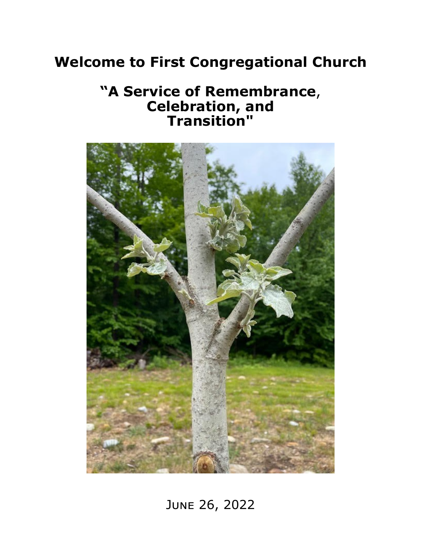# **Welcome to First Congregational Church**

## **"A Service of Remembrance**, **Celebration, and Transition"**



June 26, 2022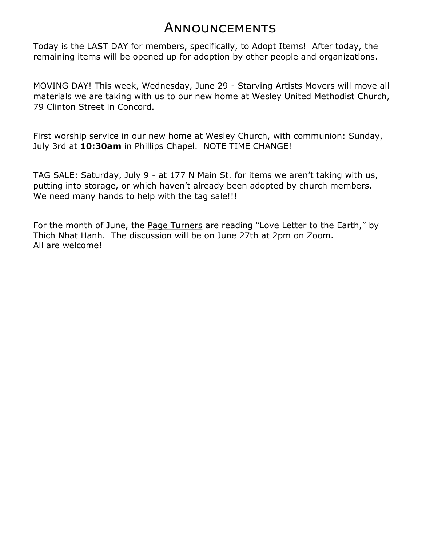### **ANNOUNCEMENTS**

Today is the LAST DAY for members, specifically, to Adopt Items! After today, the remaining items will be opened up for adoption by other people and organizations.

MOVING DAY! This week, Wednesday, June 29 - Starving Artists Movers will move all materials we are taking with us to our new home at Wesley United Methodist Church, 79 Clinton Street in Concord.

First worship service in our new home at Wesley Church, with communion: Sunday, July 3rd at **10:30am** in Phillips Chapel. NOTE TIME CHANGE!

TAG SALE: Saturday, July 9 - at 177 N Main St. for items we aren't taking with us, putting into storage, or which haven't already been adopted by church members. We need many hands to help with the tag sale!!!

For the month of June, the Page Turners are reading "Love Letter to the Earth," by Thich Nhat Hanh. The discussion will be on June 27th at 2pm on Zoom. All are welcome!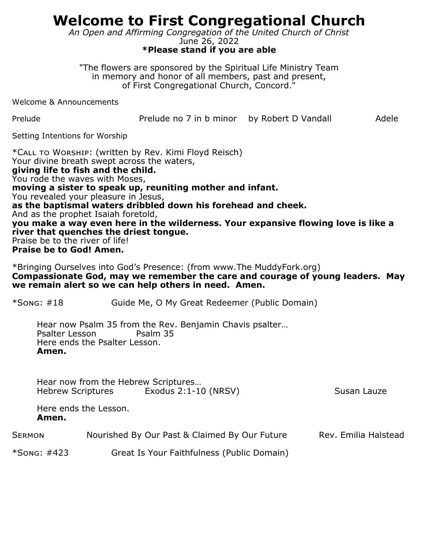## **Welcome to First Congregational Church**

*An Open and Affirming Congregation of the United Church of Christ*

June 26, 2022 **\*Please stand if you are able**

"The flowers are sponsored by the Spiritual Life Ministry Team in memory and honor of all members, past and present, of First Congregational Church, Concord."

Welcome & Announcements

Prelude **Prelude no 7 in b minor** by Robert D Vandall Adele

Setting Intentions for Worship

\*Call to Worship: (written by Rev. Kimi Floyd Reisch) Your divine breath swept across the waters, **giving life to fish and the child.** You rode the waves with Moses, **moving a sister to speak up, reuniting mother and infant.** You revealed your pleasure in Jesus, **as the baptismal waters dribbled down his forehead and cheek.** And as the prophet Isaiah foretold, **you make a way even here in the wilderness. Your expansive flowing love is like a river that quenches the driest tongue.** Praise be to the river of life! **Praise be to God! Amen.**

\*Bringing Ourselves into God's Presence: (from www.The MuddyFork.org) **Compassionate God, may we remember the care and courage of young leaders. May we remain alert so we can help others in need. Amen.**

\*Song: #18 Guide Me, O My Great Redeemer (Public Domain)

Hear now Psalm 35 from the Rev. Benjamin Chavis psalter… Psalter Lesson Psalm 35 Here ends the Psalter Lesson. **Amen.**

Hear now from the Hebrew Scriptures… Hebrew Scriptures Exodus 2:1-10 (NRSV) Susan Lauze

Here ends the Lesson. **Amen.**

| <b>SERMON</b> | Nourished By Our Past & Claimed By Our Future | Rev. Emilia Halstead |
|---------------|-----------------------------------------------|----------------------|
|               |                                               |                      |

\*Song: #423 Great Is Your Faithfulness (Public Domain)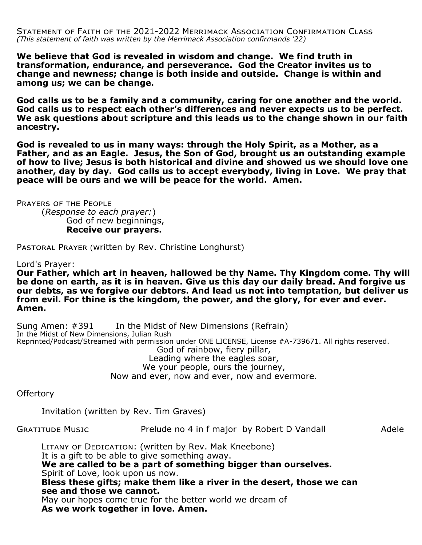Statement of Faith of the 2021-2022 Merrimack Association Confirmation Class *(This statement of faith was written by the Merrimack Association confirmands '22)*

**We believe that God is revealed in wisdom and change. We find truth in transformation, endurance, and perseverance. God the Creator invites us to change and newness; change is both inside and outside. Change is within and among us; we can be change.**

**God calls us to be a family and a community, caring for one another and the world. God calls us to respect each other's differences and never expects us to be perfect. We ask questions about scripture and this leads us to the change shown in our faith ancestry.**

**God is revealed to us in many ways: through the Holy Spirit, as a Mother, as a Father, and as an Eagle. Jesus, the Son of God, brought us an outstanding example of how to live; Jesus is both historical and divine and showed us we should love one another, day by day. God calls us to accept everybody, living in Love. We pray that peace will be ours and we will be peace for the world. Amen.**

Prayers of the People (*Response to each prayer:*) God of new beginnings, **Receive our prayers.**

Pastoral Prayer (written by Rev. Christine Longhurst)

Lord's Prayer:

**Our Father, which art in heaven, hallowed be thy Name. Thy Kingdom come. Thy will be done on earth, as it is in heaven. Give us this day our daily bread. And forgive us our debts, as we forgive our debtors. And lead us not into temptation, but deliver us from evil. For thine is the kingdom, the power, and the glory, for ever and ever. Amen.**

Sung Amen: #391 In the Midst of New Dimensions (Refrain) In the Midst of New Dimensions, Julian Rush Reprinted/Podcast/Streamed with permission under ONE LICENSE, License #A-739671. All rights reserved. God of rainbow, fiery pillar, Leading where the eagles soar, We your people, ours the journey, Now and ever, now and ever, now and evermore.

Offertory

Invitation (written by Rev. Tim Graves)

GRATITUDE MUSIC **Prelude no 4 in f major** by Robert D Vandall Adele

LITANY OF DEDICATION: (written by Rev. Mak Kneebone) It is a gift to be able to give something away. **We are called to be a part of something bigger than ourselves.** Spirit of Love, look upon us now. **Bless these gifts; make them like a river in the desert, those we can see and those we cannot.**

May our hopes come true for the better world we dream of **As we work together in love. Amen.**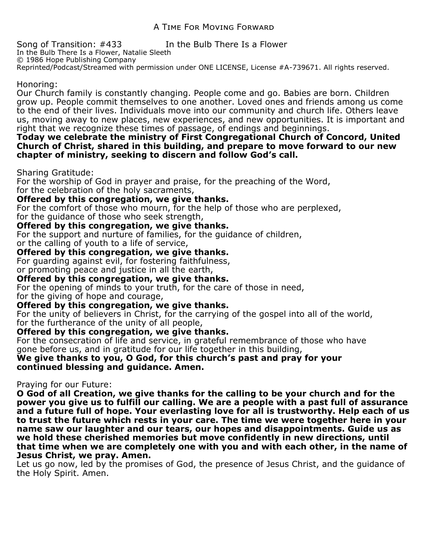Song of Transition: #433 In the Bulb There Is a Flower In the Bulb There Is a Flower, Natalie Sleeth © 1986 Hope Publishing Company Reprinted/Podcast/Streamed with permission under ONE LICENSE, License #A-739671. All rights reserved.

#### Honoring:

Our Church family is constantly changing. People come and go. Babies are born. Children grow up. People commit themselves to one another. Loved ones and friends among us come to the end of their lives. Individuals move into our community and church life. Others leave us, moving away to new places, new experiences, and new opportunities. It is important and right that we recognize these times of passage, of endings and beginnings.

#### **Today we celebrate the ministry of First Congregational Church of Concord, United Church of Christ, shared in this building, and prepare to move forward to our new chapter of ministry, seeking to discern and follow God's call.**

Sharing Gratitude:

For the worship of God in prayer and praise, for the preaching of the Word, for the celebration of the holy sacraments,

#### **Offered by this congregation, we give thanks.**

For the comfort of those who mourn, for the help of those who are perplexed, for the guidance of those who seek strength,

#### **Offered by this congregation, we give thanks.**

For the support and nurture of families, for the guidance of children, or the calling of youth to a life of service,

#### **Offered by this congregation, we give thanks.**

For guarding against evil, for fostering faithfulness,

or promoting peace and justice in all the earth,

#### **Offered by this congregation, we give thanks.**

For the opening of minds to your truth, for the care of those in need,

for the giving of hope and courage,

#### **Offered by this congregation, we give thanks.**

For the unity of believers in Christ, for the carrying of the gospel into all of the world, for the furtherance of the unity of all people,

#### **Offered by this congregation, we give thanks.**

For the consecration of life and service, in grateful remembrance of those who have gone before us, and in gratitude for our life together in this building,

#### **We give thanks to you, O God, for this church's past and pray for your continued blessing and guidance. Amen.**

#### Praying for our Future:

**O God of all Creation, we give thanks for the calling to be your church and for the power you give us to fulfill our calling. We are a people with a past full of assurance and a future full of hope. Your everlasting love for all is trustworthy. Help each of us to trust the future which rests in your care. The time we were together here in your name saw our laughter and our tears, our hopes and disappointments. Guide us as we hold these cherished memories but move confidently in new directions, until that time when we are completely one with you and with each other, in the name of Jesus Christ, we pray. Amen.** 

Let us go now, led by the promises of God, the presence of Jesus Christ, and the guidance of the Holy Spirit. Amen.